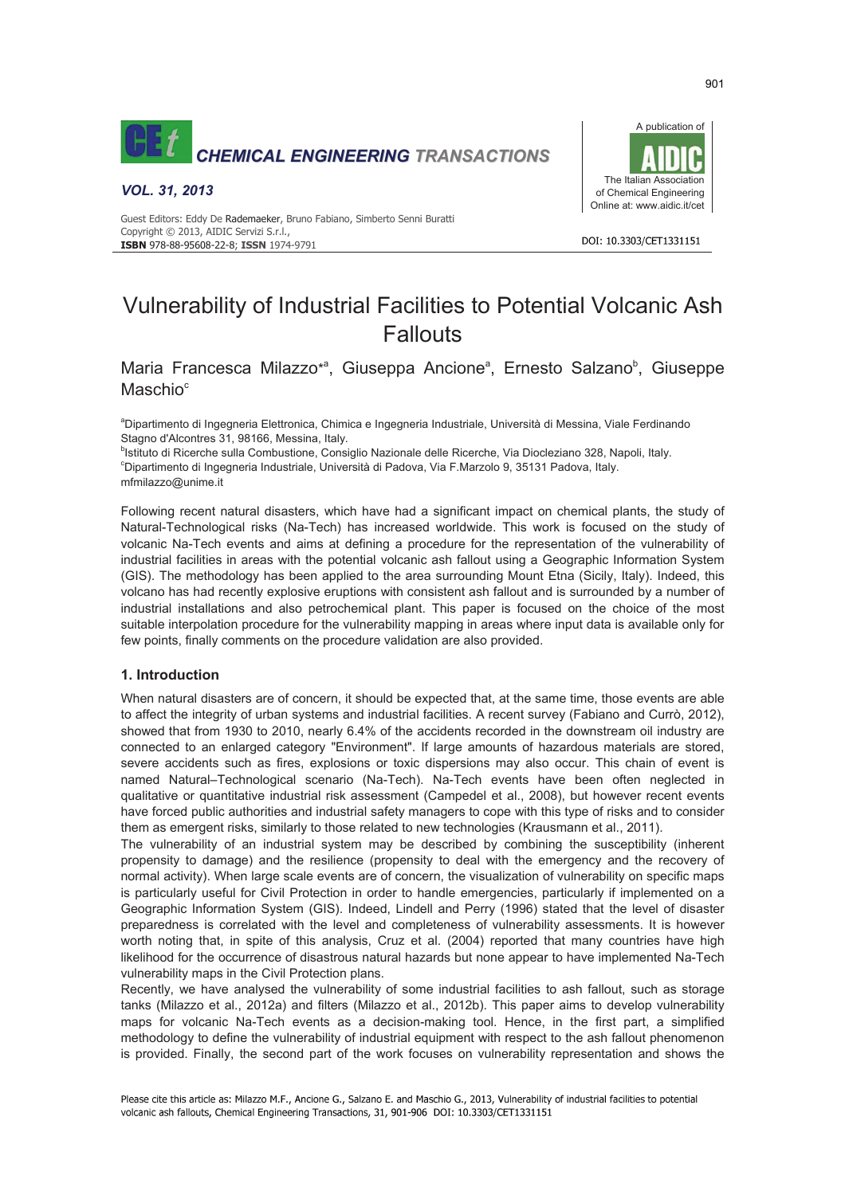

#### *VOL. 31, 2013*



DOI: 10.3303/CFT1331151

#### Guest Editors: Eddy De Rademaeker, Bruno Fabiano, Simberto Senni Buratti Copyright © 2013, AIDIC Servizi S.r.l., **ISBN** 978-88-95608-22-8; **ISSN** 1974-9791

# Vulnerability of Industrial Facilities to Potential Volcanic Ash Fallouts

Maria Francesca Milazzo<sup>\*a</sup>, Giuseppa Ancione<sup>a</sup>, Ernesto Salzano<sup>b</sup>, Giuseppe Maschio<sup>c</sup>

a Dipartimento di Ingegneria Elettronica, Chimica e Ingegneria Industriale, Università di Messina, Viale Ferdinando Stagno d'Alcontres 31, 98166, Messina, Italy.

<sup>b</sup>lstituto di Ricerche sulla Combustione, Consiglio Nazionale delle Ricerche, Via Diocleziano 328, Napoli, Italy. c Dipartimento di Ingegneria Industriale, Università di Padova, Via F.Marzolo 9, 35131 Padova, Italy. mfmilazzo@unime.it

Following recent natural disasters, which have had a significant impact on chemical plants, the study of Natural-Technological risks (Na-Tech) has increased worldwide. This work is focused on the study of volcanic Na-Tech events and aims at defining a procedure for the representation of the vulnerability of industrial facilities in areas with the potential volcanic ash fallout using a Geographic Information System (GIS). The methodology has been applied to the area surrounding Mount Etna (Sicily, Italy). Indeed, this volcano has had recently explosive eruptions with consistent ash fallout and is surrounded by a number of industrial installations and also petrochemical plant. This paper is focused on the choice of the most suitable interpolation procedure for the vulnerability mapping in areas where input data is available only for few points, finally comments on the procedure validation are also provided.

# **1. Introduction**

When natural disasters are of concern, it should be expected that, at the same time, those events are able to affect the integrity of urban systems and industrial facilities. A recent survey (Fabiano and Currò, 2012), showed that from 1930 to 2010, nearly 6.4% of the accidents recorded in the downstream oil industry are connected to an enlarged category "Environment". If large amounts of hazardous materials are stored, severe accidents such as fires, explosions or toxic dispersions may also occur. This chain of event is named Natural–Technological scenario (Na-Tech). Na-Tech events have been often neglected in qualitative or quantitative industrial risk assessment (Campedel et al., 2008), but however recent events have forced public authorities and industrial safety managers to cope with this type of risks and to consider them as emergent risks, similarly to those related to new technologies (Krausmann et al., 2011).

The vulnerability of an industrial system may be described by combining the susceptibility (inherent propensity to damage) and the resilience (propensity to deal with the emergency and the recovery of normal activity). When large scale events are of concern, the visualization of vulnerability on specific maps is particularly useful for Civil Protection in order to handle emergencies, particularly if implemented on a Geographic Information System (GIS). Indeed, Lindell and Perry (1996) stated that the level of disaster preparedness is correlated with the level and completeness of vulnerability assessments. It is however worth noting that, in spite of this analysis, Cruz et al. (2004) reported that many countries have high likelihood for the occurrence of disastrous natural hazards but none appear to have implemented Na-Tech vulnerability maps in the Civil Protection plans.

Recently, we have analysed the vulnerability of some industrial facilities to ash fallout, such as storage tanks (Milazzo et al., 2012a) and filters (Milazzo et al., 2012b). This paper aims to develop vulnerability maps for volcanic Na-Tech events as a decision-making tool. Hence, in the first part, a simplified methodology to define the vulnerability of industrial equipment with respect to the ash fallout phenomenon is provided. Finally, the second part of the work focuses on vulnerability representation and shows the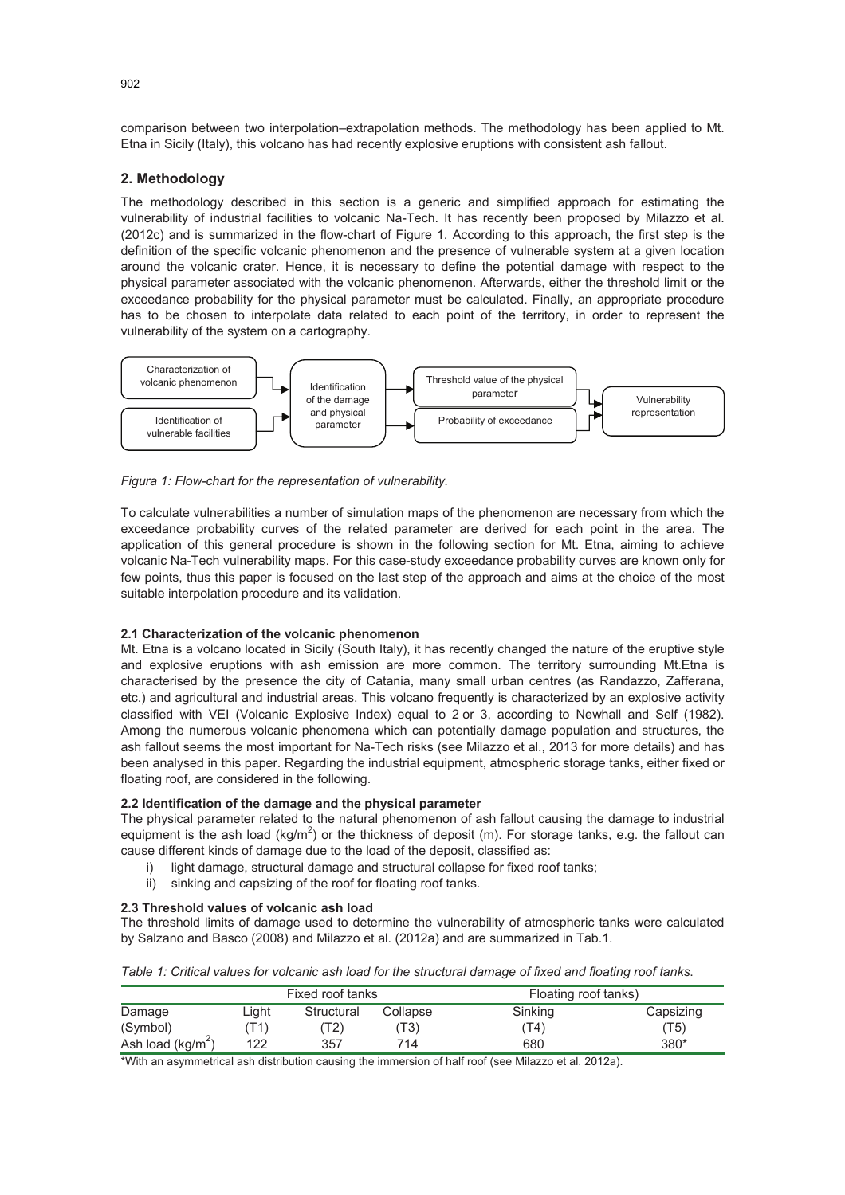comparison between two interpolation–extrapolation methods. The methodology has been applied to Mt. Etna in Sicily (Italy), this volcano has had recently explosive eruptions with consistent ash fallout.

# **2. Methodology**

The methodology described in this section is a generic and simplified approach for estimating the vulnerability of industrial facilities to volcanic Na-Tech. It has recently been proposed by Milazzo et al. (2012c) and is summarized in the flow-chart of Figure 1. According to this approach, the first step is the definition of the specific volcanic phenomenon and the presence of vulnerable system at a given location around the volcanic crater. Hence, it is necessary to define the potential damage with respect to the physical parameter associated with the volcanic phenomenon. Afterwards, either the threshold limit or the exceedance probability for the physical parameter must be calculated. Finally, an appropriate procedure has to be chosen to interpolate data related to each point of the territory, in order to represent the vulnerability of the system on a cartography.



*Figura 1: Flow-chart for the representation of vulnerability.* 

To calculate vulnerabilities a number of simulation maps of the phenomenon are necessary from which the exceedance probability curves of the related parameter are derived for each point in the area. The application of this general procedure is shown in the following section for Mt. Etna, aiming to achieve volcanic Na-Tech vulnerability maps. For this case-study exceedance probability curves are known only for few points, thus this paper is focused on the last step of the approach and aims at the choice of the most suitable interpolation procedure and its validation.

## **2.1 Characterization of the volcanic phenomenon**

Mt. Etna is a volcano located in Sicily (South Italy), it has recently changed the nature of the eruptive style and explosive eruptions with ash emission are more common. The territory surrounding Mt.Etna is characterised by the presence the city of Catania, many small urban centres (as Randazzo, Zafferana, etc.) and agricultural and industrial areas. This volcano frequently is characterized by an explosive activity classified with VEI (Volcanic Explosive Index) equal to 2 or 3, according to Newhall and Self (1982). Among the numerous volcanic phenomena which can potentially damage population and structures, the ash fallout seems the most important for Na-Tech risks (see Milazzo et al., 2013 for more details) and has been analysed in this paper. Regarding the industrial equipment, atmospheric storage tanks, either fixed or floating roof, are considered in the following.

## **2.2 Identification of the damage and the physical parameter**

The physical parameter related to the natural phenomenon of ash fallout causing the damage to industrial equipment is the ash load (kg/m<sup>2</sup>) or the thickness of deposit (m). For storage tanks, e.g. the fallout can cause different kinds of damage due to the load of the deposit, classified as:

- i) light damage, structural damage and structural collapse for fixed roof tanks;
- ii) sinking and capsizing of the roof for floating roof tanks.

## **2.3 Threshold values of volcanic ash load**

The threshold limits of damage used to determine the vulnerability of atmospheric tanks were calculated by Salzano and Basco (2008) and Milazzo et al. (2012a) and are summarized in Tab.1.

*Table 1: Critical values for volcanic ash load for the structural damage of fixed and floating roof tanks*.

|                     | Fixed roof tanks |            |          | Floating roof tanks) |           |
|---------------------|------------------|------------|----------|----------------------|-----------|
| Damage              | Liaht            | Structural | Collapse | Sinking              | Capsizing |
| (Symbol)            | (T1              | T2)        | (T3)     | 'T4)                 | (T5)      |
| Ash load $(kg/m^2)$ | 122              | 357        | 714      | 680                  | 380*      |

\*With an asymmetrical ash distribution causing the immersion of half roof (see Milazzo et al. 2012a).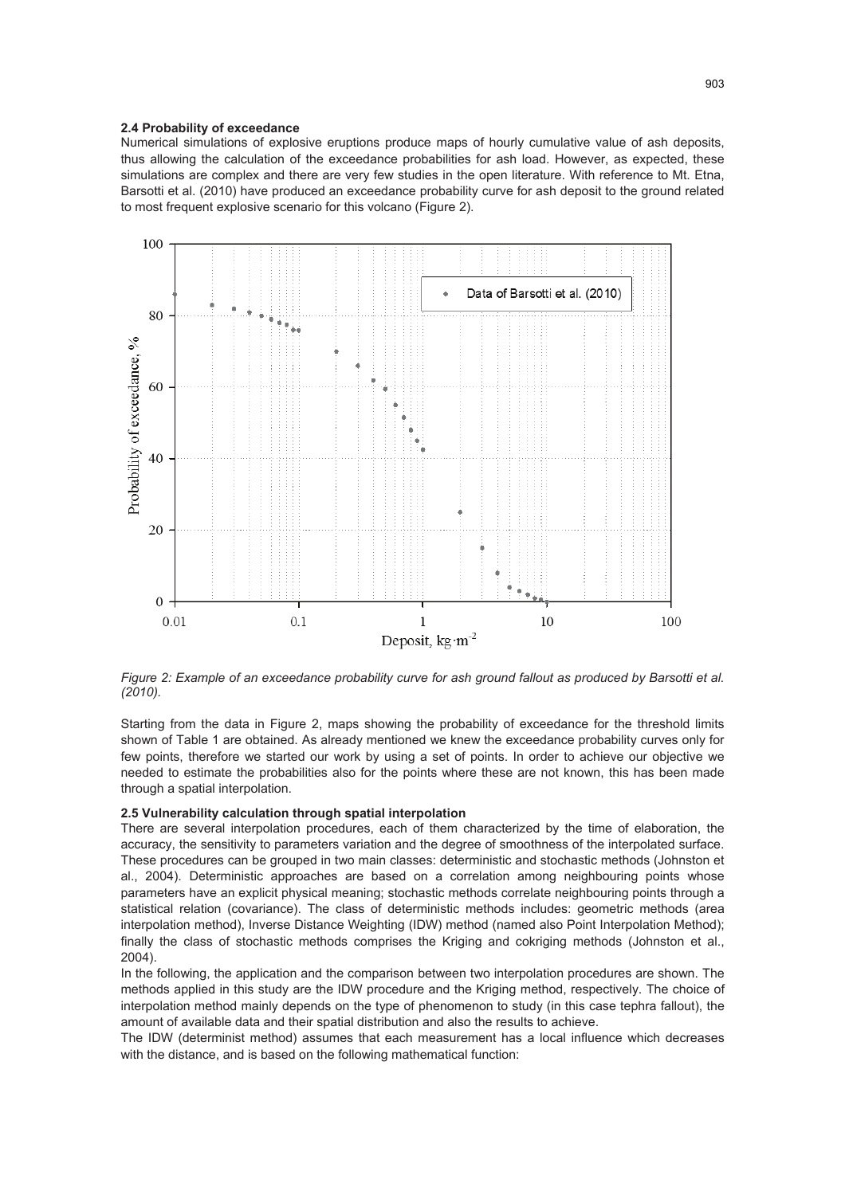#### **2.4 Probability of exceedance**

Numerical simulations of explosive eruptions produce maps of hourly cumulative value of ash deposits, thus allowing the calculation of the exceedance probabilities for ash load. However, as expected, these simulations are complex and there are very few studies in the open literature. With reference to Mt. Etna, Barsotti et al. (2010) have produced an exceedance probability curve for ash deposit to the ground related to most frequent explosive scenario for this volcano (Figure 2).



*Figure 2: Example of an exceedance probability curve for ash ground fallout as produced by Barsotti et al. (2010).* 

Starting from the data in Figure 2, maps showing the probability of exceedance for the threshold limits shown of Table 1 are obtained. As already mentioned we knew the exceedance probability curves only for few points, therefore we started our work by using a set of points. In order to achieve our objective we needed to estimate the probabilities also for the points where these are not known, this has been made through a spatial interpolation.

#### **2.5 Vulnerability calculation through spatial interpolation**

There are several interpolation procedures, each of them characterized by the time of elaboration, the accuracy, the sensitivity to parameters variation and the degree of smoothness of the interpolated surface. These procedures can be grouped in two main classes: deterministic and stochastic methods (Johnston et al., 2004). Deterministic approaches are based on a correlation among neighbouring points whose parameters have an explicit physical meaning; stochastic methods correlate neighbouring points through a statistical relation (covariance). The class of deterministic methods includes: geometric methods (area interpolation method), Inverse Distance Weighting (IDW) method (named also Point Interpolation Method); finally the class of stochastic methods comprises the Kriging and cokriging methods (Johnston et al., 2004).

In the following, the application and the comparison between two interpolation procedures are shown. The methods applied in this study are the IDW procedure and the Kriging method, respectively. The choice of interpolation method mainly depends on the type of phenomenon to study (in this case tephra fallout), the amount of available data and their spatial distribution and also the results to achieve.

The IDW (determinist method) assumes that each measurement has a local influence which decreases with the distance, and is based on the following mathematical function: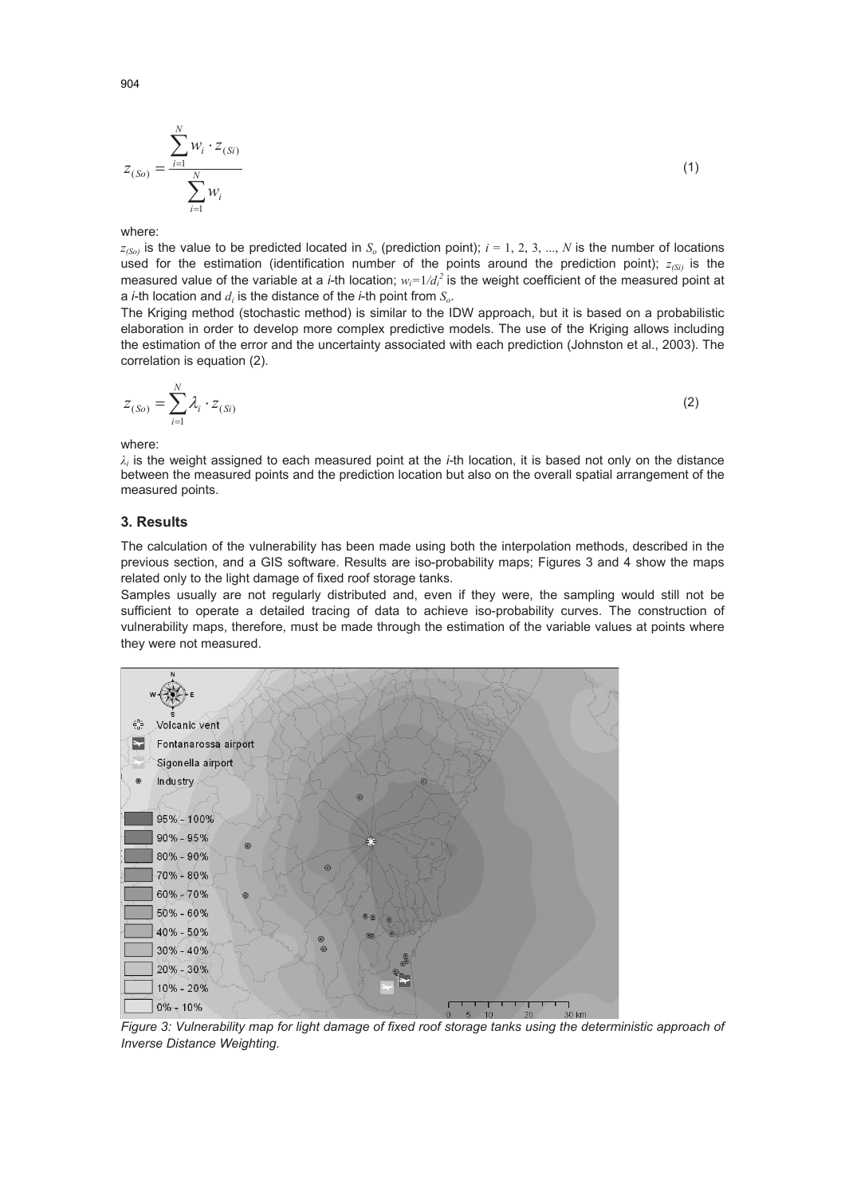$$
Z_{(So)} = \frac{\sum_{i=1}^{N} w_i \cdot Z_{(Si)}}{\sum_{i=1}^{N} w_i}
$$
 (1)

where:

 $z_{(S_0)}$  is the value to be predicted located in  $S_0$  (prediction point);  $i = 1, 2, 3, ..., N$  is the number of locations used for the estimation (identification number of the points around the prediction point); *z(Si)* is the measured value of the variable at a *i*-th location;  $w_i=1/d_i^2$  is the weight coefficient of the measured point at a *i-*th location and *di* is the distance of the *i*-th point from *So*.

The Kriging method (stochastic method) is similar to the IDW approach, but it is based on a probabilistic elaboration in order to develop more complex predictive models. The use of the Kriging allows including the estimation of the error and the uncertainty associated with each prediction (Johnston et al., 2003). The correlation is equation (2).

$$
z_{(So)} = \sum_{i=1}^{N} \lambda_i \cdot z_{(Si)}
$$
 (2)

where:

*Ȝi* is the weight assigned to each measured point at the *i-*th location, it is based not only on the distance between the measured points and the prediction location but also on the overall spatial arrangement of the measured points.

# **3. Results**

The calculation of the vulnerability has been made using both the interpolation methods, described in the previous section, and a GIS software. Results are iso-probability maps; Figures 3 and 4 show the maps related only to the light damage of fixed roof storage tanks.

Samples usually are not regularly distributed and, even if they were, the sampling would still not be sufficient to operate a detailed tracing of data to achieve iso-probability curves. The construction of vulnerability maps, therefore, must be made through the estimation of the variable values at points where they were not measured.



*Figure 3: Vulnerability map for light damage of fixed roof storage tanks using the deterministic approach of Inverse Distance Weighting.*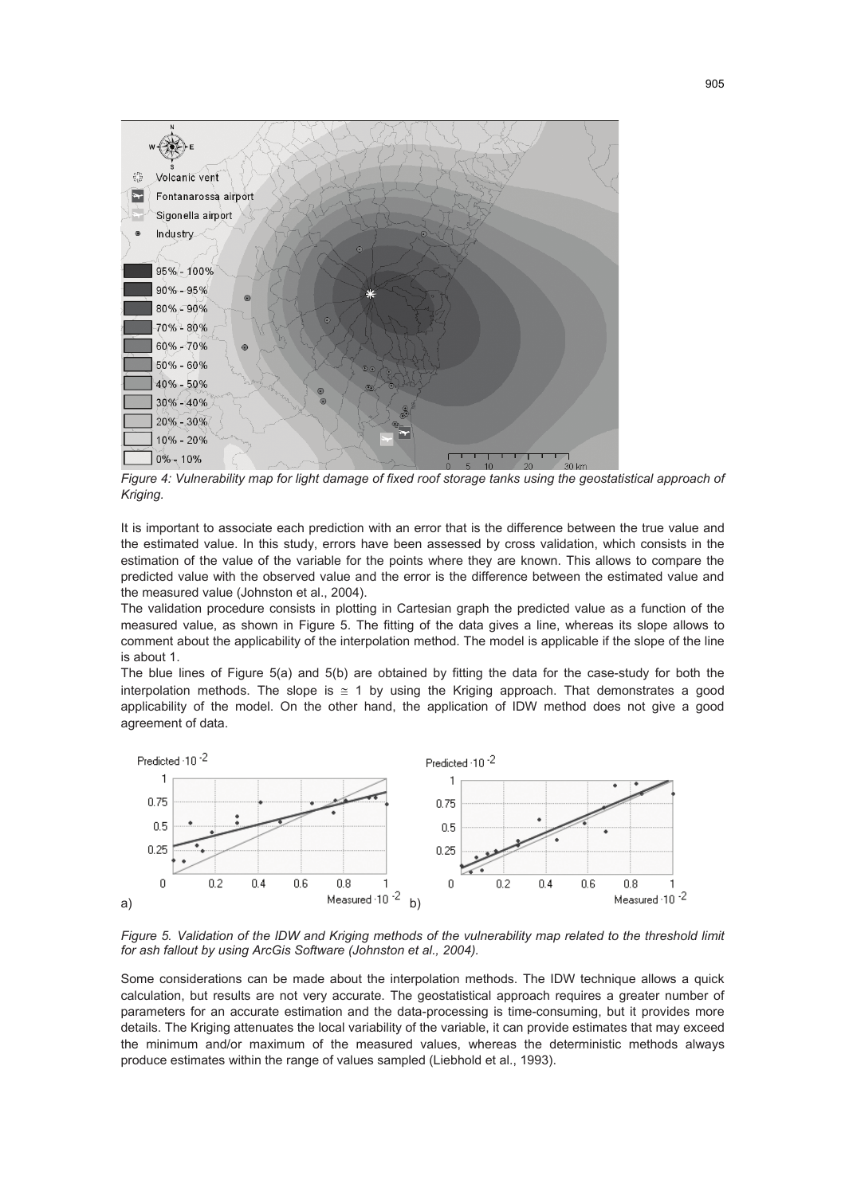

Figure 4: Vulnerability map for light damage of fixed roof storage tanks using the geostatistical approach of *Kriging.* 

It is important to associate each prediction with an error that is the difference between the true value and the estimated value. In this study, errors have been assessed by cross validation, which consists in the estimation of the value of the variable for the points where they are known. This allows to compare the predicted value with the observed value and the error is the difference between the estimated value and the measured value (Johnston et al., 2004).

The validation procedure consists in plotting in Cartesian graph the predicted value as a function of the measured value, as shown in Figure 5. The fitting of the data gives a line, whereas its slope allows to comment about the applicability of the interpolation method. The model is applicable if the slope of the line is about 1.

The blue lines of Figure 5(a) and 5(b) are obtained by fitting the data for the case-study for both the interpolation methods. The slope is  $\leq$  1 by using the Kriging approach. That demonstrates a good applicability of the model. On the other hand, the application of IDW method does not give a good agreement of data.



*Figure 5. Validation of the IDW and Kriging methods of the vulnerability map related to the threshold limit for ash fallout by using ArcGis Software (Johnston et al., 2004).* 

Some considerations can be made about the interpolation methods. The IDW technique allows a quick calculation, but results are not very accurate. The geostatistical approach requires a greater number of parameters for an accurate estimation and the data-processing is time-consuming, but it provides more details. The Kriging attenuates the local variability of the variable, it can provide estimates that may exceed the minimum and/or maximum of the measured values, whereas the deterministic methods always produce estimates within the range of values sampled (Liebhold et al., 1993).